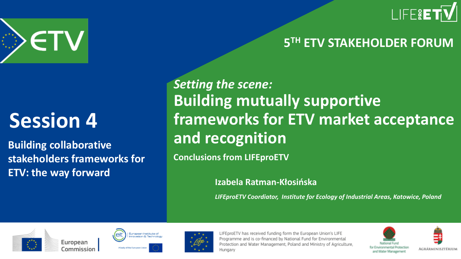



### **Session 4**

**Building collaborative stakeholders frameworks for ETV: the way forward**

*Setting the scene:* **Building mutually supportive frameworks for ETV market acceptance and recognition**

**Conclusions from LIFEproETV**

**Izabela Ratman-Kłosińska**

*LIFEproETV Coordiator, Institute for Ecology of Industrial Areas, Katowice, Poland*







LIFEproETV has received funding form the European Union's LIFE Programme and is co-financed by National Fund for Environmental Protection and Water Management, Poland and Ministry of Agriculture, Hungary



**5 TH ETV STAKEHOLDER FORUM**

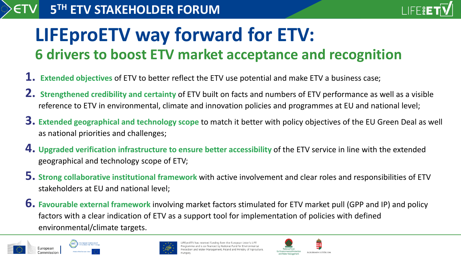#### **5 TH ETV STAKEHOLDER FORUM**



### **LIFEproETV way forward for ETV: 6 drivers to boost ETV market acceptance and recognition**

- **1. Extended objectives** of ETV to better reflect the ETV use potential and make ETV a business case;
- **2. Strengthened credibility and certainty** of ETV built on facts and numbers of ETV performance as well as a visible reference to ETV in environmental, climate and innovation policies and programmes at EU and national level;
- **3. Extended geographical and technology scope** to match it better with policy objectives of the EU Green Deal as well as national priorities and challenges;
- **4. Upgraded verification infrastructure to ensure better accessibility** of the ETV service in line with the extended geographical and technology scope of ETV;
- **5. Strong collaborative institutional framework** with active involvement and clear roles and responsibilities of ETV stakeholders at EU and national level;
- **6. Favourable external framework** involving market factors stimulated for ETV market pull (GPP and IP) and policy factors with a clear indication of ETV as a support tool for implementation of policies with defined environmental/climate targets.





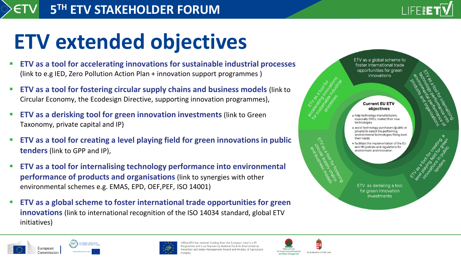## **ETV extended objectives**

- **ETV as a tool for accelerating innovations for sustainable industrial processes**  (link to e.g IED, Zero Pollution Action Plan + innovation support programmes )
- **ETV as a tool for fostering circular supply chains and business models** (link to Circular Economy, the Ecodesign Directive, supporting innovation programmes),
- **ETV as a derisking tool for green innovation investments (link to Green)** Taxonomy, private capital and IP)
- **ETV as a tool for creating a level playing field for green innovations in public tenders** (link to GPP and IP),
- **ETV as a tool for internalising technology performance into environmental performance of products and organisations** (link to synergies with other environmental schemes e.g. EMAS, EPD, OEF,PEF, ISO 14001)
- **ETV as a global scheme to foster international trade opportunities for green innovations** (link to international recognition of the ISO 14034 standard, global ETV initiatives)



LIFERE





oroETV has received funding form the European Union's LIFE ogramme and is co-financed by National Fund for Environmental and Water Management, Poland and Ministry of Agriculture,

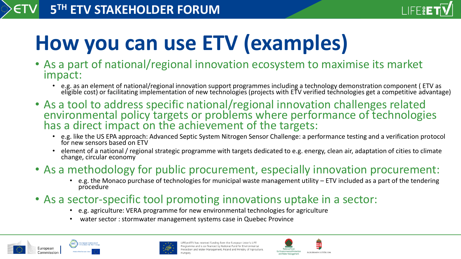

# **How you can use ETV (examples)**

- As a part of national/regional innovation ecosystem to maximise its market impact:
	- e.g. as an element of national/regional innovation support programmes including a technology demonstration component ( ETV as eligible cost) or facilitating implementation of new technologies (projects with ETV verified technologies get a competitive advantage)
- As a tool to address specific national/regional innovation challenges related environmental policy targets or problems where performance of technologies has a direct impact on the achievement of the targets:
	- e.g. like the US EPA approach: Advanced Septic System Nitrogen Sensor Challenge: a performance testing and a verification protocol for new sensors based on ETV
	- element of a national / regional strategic programme with targets dedicated to e.g. energy, clean air, adaptation of cities to climate change, circular economy
- As a methodology for public procurement, especially innovation procurement:
	- e.g. the Monaco purchase of technologies for municipal waste management utility ETV included as a part of the tendering procedure
- As a sector-specific tool promoting innovations uptake in a sector:
	- e.g. agriculture: VERA programme for new environmental technologies for agriculture
	- water sector : stormwater management systems case in Quebec Province





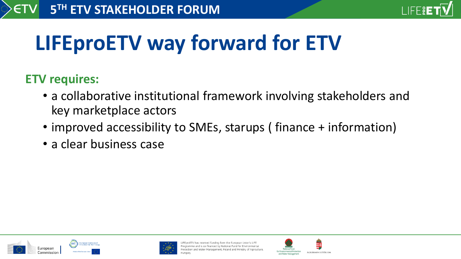

# **LIFEproETV way forward for ETV**

#### **ETV requires:**

- a collaborative institutional framework involving stakeholders and key marketplace actors
- improved accessibility to SMEs, starups (finance + information)
- a clear business case





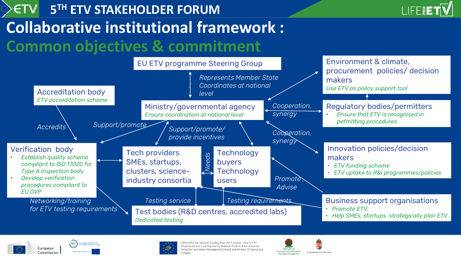





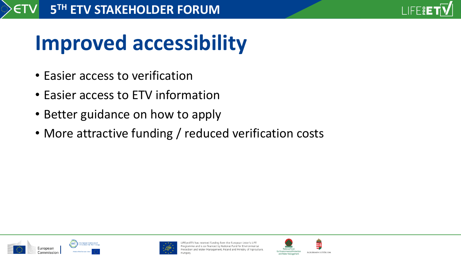

# **Improved accessibility**

- Easier access to verification
- Easier access to ETV information
- Better guidance on how to apply
- More attractive funding / reduced verification costs





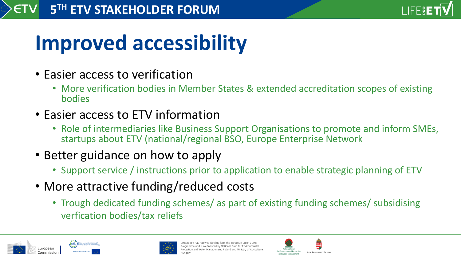

# **Improved accessibility**

- Easier access to verification
	- More verification bodies in Member States & extended accreditation scopes of existing bodies
- Easier access to ETV information
	- Role of intermediaries like Business Support Organisations to promote and inform SMEs, startups about ETV (national/regional BSO, Europe Enterprise Network
- Better guidance on how to apply
	- Support service / instructions prior to application to enable strategic planning of ETV
- More attractive funding/reduced costs
	- Trough dedicated funding schemes/ as part of existing funding schemes/ subsidising verfication bodies/tax reliefs





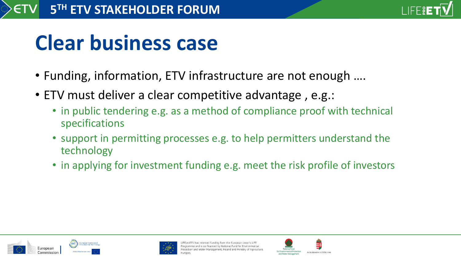

### **Clear business case**

- Funding, information, ETV infrastructure are not enough ….
- ETV must deliver a clear competitive advantage , e.g.:
	- in public tendering e.g. as a method of compliance proof with technical specifications
	- support in permitting processes e.g. to help permitters understand the technology
	- in applying for investment funding e.g. meet the risk profile of investors